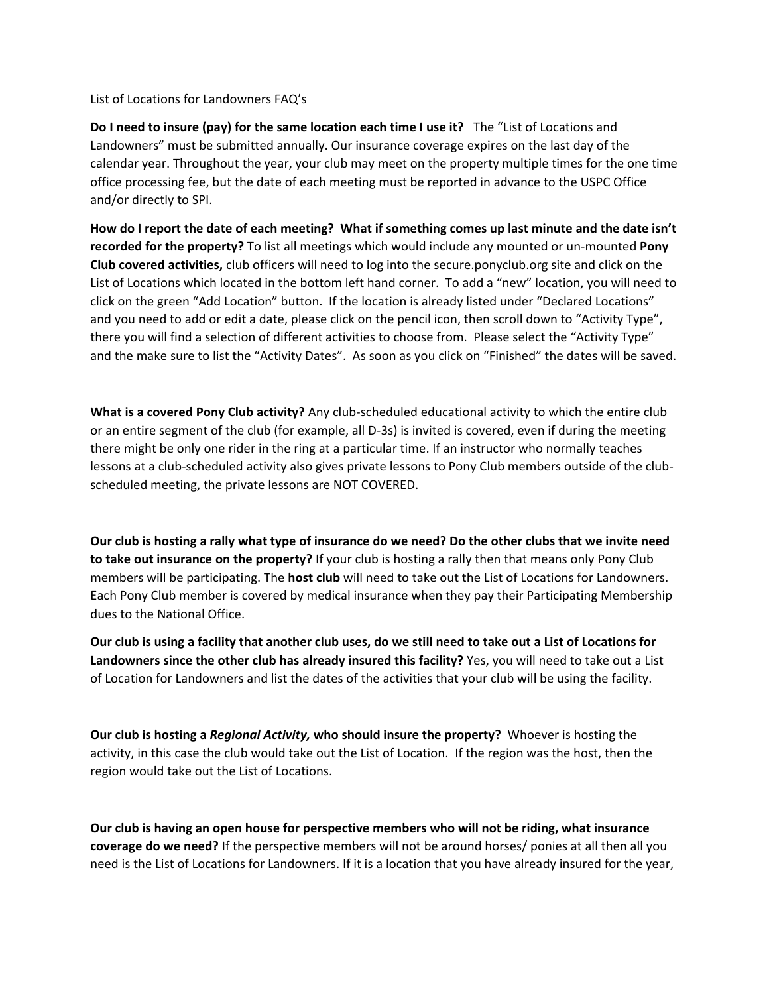List of Locations for Landowners FAQ's

**Do I need to insure (pay) for the same location each time I use it?** The "List of Locations and Landowners" must be submitted annually. Our insurance coverage expires on the last day of the calendar year. Throughout the year, your club may meet on the property multiple times for the one time office processing fee, but the date of each meeting must be reported in advance to the USPC Office and/or directly to SPI.

**How do I report the date of each meeting? What if something comes up last minute and the date isn't recorded for the property?** To list all meetings which would include any mounted or un-mounted **Pony Club covered activities,** club officers will need to log into the secure.ponyclub.org site and click on the List of Locations which located in the bottom left hand corner. To add a "new" location, you will need to click on the green "Add Location" button. If the location is already listed under "Declared Locations" and you need to add or edit a date, please click on the pencil icon, then scroll down to "Activity Type", there you will find a selection of different activities to choose from. Please select the "Activity Type" and the make sure to list the "Activity Dates". As soon as you click on "Finished" the dates will be saved.

**What is a covered Pony Club activity?** Any club-scheduled educational activity to which the entire club or an entire segment of the club (for example, all D-3s) is invited is covered, even if during the meeting there might be only one rider in the ring at a particular time. If an instructor who normally teaches lessons at a club-scheduled activity also gives private lessons to Pony Club members outside of the clubscheduled meeting, the private lessons are NOT COVERED.

**Our club is hosting a rally what type of insurance do we need? Do the other clubs that we invite need to take out insurance on the property?** If your club is hosting a rally then that means only Pony Club members will be participating. The **host club** will need to take out the List of Locations for Landowners. Each Pony Club member is covered by medical insurance when they pay their Participating Membership dues to the National Office.

**Our club is using a facility that another club uses, do we still need to take out a List of Locations for Landowners since the other club has already insured this facility?** Yes, you will need to take out a List of Location for Landowners and list the dates of the activities that your club will be using the facility.

**Our club is hosting a** *Regional Activity,* **who should insure the property?** Whoever is hosting the activity, in this case the club would take out the List of Location. If the region was the host, then the region would take out the List of Locations.

**Our club is having an open house for perspective members who will not be riding, what insurance coverage do we need?** If the perspective members will not be around horses/ ponies at all then all you need is the List of Locations for Landowners. If it is a location that you have already insured for the year,